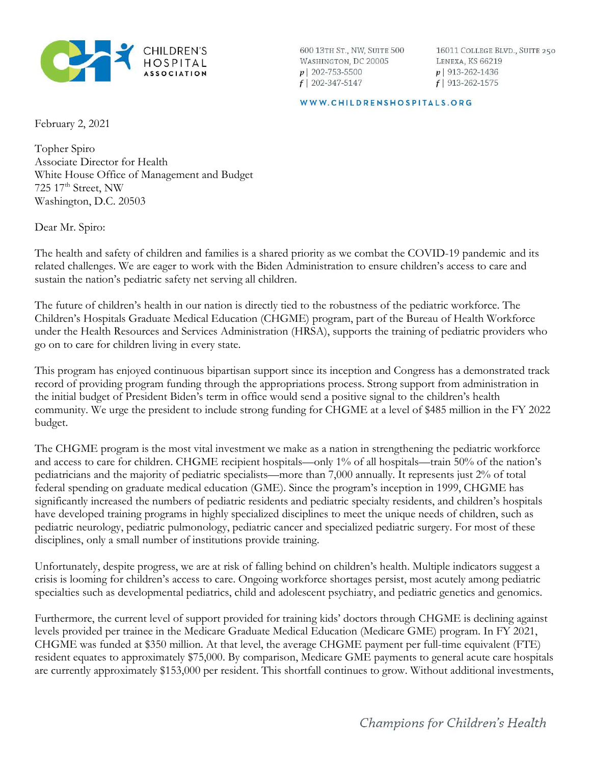

600 13TH ST., NW, SUITE 500 WASHINGTON, DC 20005  $p$ | 202-753-5500  $f$  | 202-347-5147

16011 COLLEGE BLVD., SUITE 250 LENEXA, KS 66219  $p$  913-262-1436  $f$ | 913-262-1575

WWW.CHILDRENSHOSPITALS.ORG

February 2, 2021

Topher Spiro Associate Director for Health White House Office of Management and Budget 725 17<sup>th</sup> Street, NW Washington, D.C. 20503

Dear Mr. Spiro:

The health and safety of children and families is a shared priority as we combat the COVID-19 pandemic and its related challenges. We are eager to work with the Biden Administration to ensure children's access to care and sustain the nation's pediatric safety net serving all children.

The future of children's health in our nation is directly tied to the robustness of the pediatric workforce. The Children's Hospitals Graduate Medical Education (CHGME) program, part of the Bureau of Health Workforce under the Health Resources and Services Administration (HRSA), supports the training of pediatric providers who go on to care for children living in every state.

This program has enjoyed continuous bipartisan support since its inception and Congress has a demonstrated track record of providing program funding through the appropriations process. Strong support from administration in the initial budget of President Biden's term in office would send a positive signal to the children's health community. We urge the president to include strong funding for CHGME at a level of \$485 million in the FY 2022 budget.

The CHGME program is the most vital investment we make as a nation in strengthening the pediatric workforce and access to care for children. CHGME recipient hospitals—only 1% of all hospitals—train 50% of the nation's pediatricians and the majority of pediatric specialists—more than 7,000 annually. It represents just 2% of total federal spending on graduate medical education (GME). Since the program's inception in 1999, CHGME has significantly increased the numbers of pediatric residents and pediatric specialty residents, and children's hospitals have developed training programs in highly specialized disciplines to meet the unique needs of children, such as pediatric neurology, pediatric pulmonology, pediatric cancer and specialized pediatric surgery. For most of these disciplines, only a small number of institutions provide training.

Unfortunately, despite progress, we are at risk of falling behind on children's health. Multiple indicators suggest a crisis is looming for children's access to care. Ongoing workforce shortages persist, most acutely among pediatric specialties such as developmental pediatrics, child and adolescent psychiatry, and pediatric genetics and genomics.

Furthermore, the current level of support provided for training kids' doctors through CHGME is declining against levels provided per trainee in the Medicare Graduate Medical Education (Medicare GME) program. In FY 2021, CHGME was funded at \$350 million. At that level, the average CHGME payment per full-time equivalent (FTE) resident equates to approximately \$75,000. By comparison, Medicare GME payments to general acute care hospitals are currently approximately \$153,000 per resident. This shortfall continues to grow. Without additional investments,